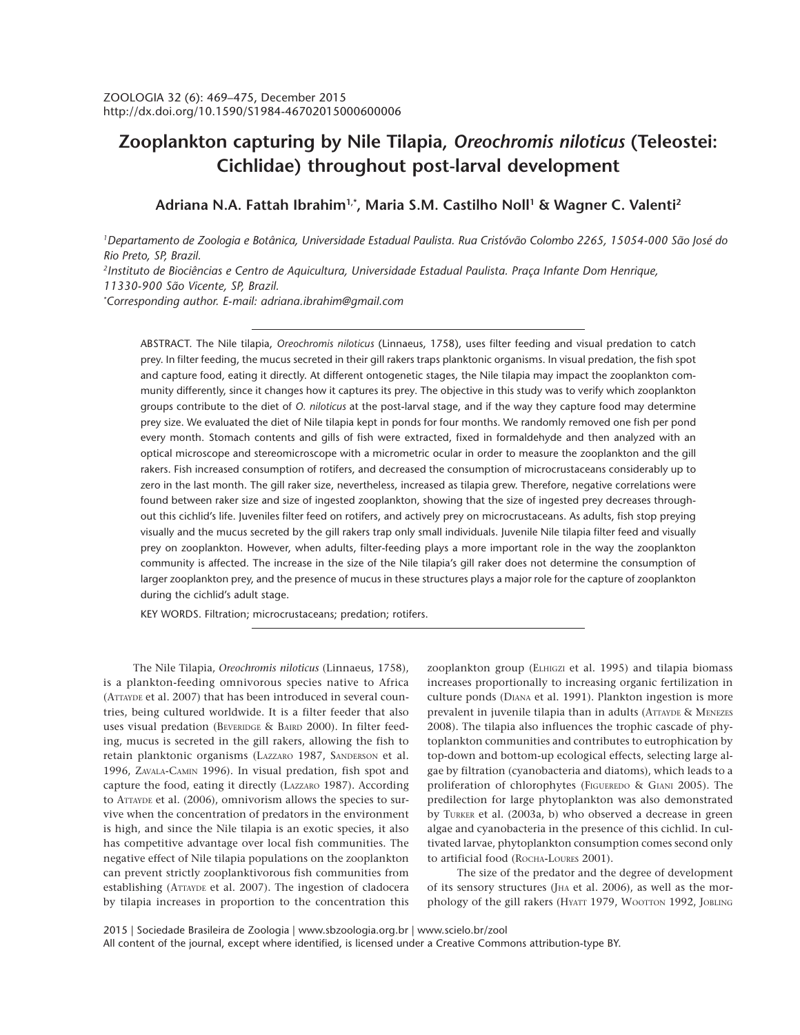# **Zooplankton capturing by Nile Tilapia,** *Oreochromis niloticus* **(Teleostei: Cichlidae) throughout post-larval development**

**Adriana N.A. Fattah Ibrahim1,\*, Maria S.M. Castilho Noll1 & Wagner C. Valenti2**

*1 Departamento de Zoologia e Botânica, Universidade Estadual Paulista. Rua Cristóvão Colombo 2265, 15054-000 São José do Rio Preto, SP, Brazil. 2Instituto de Biociências e Centro de Aquicultura, Universidade Estadual Paulista. Praça Infante Dom Henrique, 11330-900 São Vicente, SP, Brazil. \* Corresponding author. E-mail: adriana.ibrahim@gmail.com*

ABSTRACT. The Nile tilapia, *Oreochromis niloticus* (Linnaeus, 1758), uses filter feeding and visual predation to catch prey. In filter feeding, the mucus secreted in their gill rakers traps planktonic organisms. In visual predation, the fish spot and capture food, eating it directly. At different ontogenetic stages, the Nile tilapia may impact the zooplankton community differently, since it changes how it captures its prey. The objective in this study was to verify which zooplankton groups contribute to the diet of *O. niloticus* at the post-larval stage, and if the way they capture food may determine prey size. We evaluated the diet of Nile tilapia kept in ponds for four months. We randomly removed one fish per pond every month. Stomach contents and gills of fish were extracted, fixed in formaldehyde and then analyzed with an optical microscope and stereomicroscope with a micrometric ocular in order to measure the zooplankton and the gill rakers. Fish increased consumption of rotifers, and decreased the consumption of microcrustaceans considerably up to zero in the last month. The gill raker size, nevertheless, increased as tilapia grew. Therefore, negative correlations were found between raker size and size of ingested zooplankton, showing that the size of ingested prey decreases throughout this cichlid's life. Juveniles filter feed on rotifers, and actively prey on microcrustaceans. As adults, fish stop preying visually and the mucus secreted by the gill rakers trap only small individuals. Juvenile Nile tilapia filter feed and visually prey on zooplankton. However, when adults, filter-feeding plays a more important role in the way the zooplankton community is affected. The increase in the size of the Nile tilapia's gill raker does not determine the consumption of larger zooplankton prey, and the presence of mucus in these structures plays a major role for the capture of zooplankton during the cichlid's adult stage.

KEY WORDS. Filtration; microcrustaceans; predation; rotifers.

The Nile Tilapia, *Oreochromis niloticus* (Linnaeus, 1758), is a plankton-feeding omnivorous species native to Africa (ATTAYDE et al. 2007) that has been introduced in several countries, being cultured worldwide. It is a filter feeder that also uses visual predation (BEVERIDGE & BAIRD 2000). In filter feeding, mucus is secreted in the gill rakers, allowing the fish to retain planktonic organisms (LAZZARO 1987, SANDERSON et al. 1996, ZAVALA-CAMIN 1996). In visual predation, fish spot and capture the food, eating it directly (LAZZARO 1987). According to ATTAYDE et al. (2006), omnivorism allows the species to survive when the concentration of predators in the environment is high, and since the Nile tilapia is an exotic species, it also has competitive advantage over local fish communities. The negative effect of Nile tilapia populations on the zooplankton can prevent strictly zooplanktivorous fish communities from establishing (ATTAYDE et al. 2007). The ingestion of cladocera by tilapia increases in proportion to the concentration this

zooplankton group (ELHIGZI et al. 1995) and tilapia biomass increases proportionally to increasing organic fertilization in culture ponds (DIANA et al. 1991). Plankton ingestion is more prevalent in juvenile tilapia than in adults (ATTAYDE & MENEZES 2008). The tilapia also influences the trophic cascade of phytoplankton communities and contributes to eutrophication by top-down and bottom-up ecological effects, selecting large algae by filtration (cyanobacteria and diatoms), which leads to a proliferation of chlorophytes (FIGUEREDO & GIANI 2005). The predilection for large phytoplankton was also demonstrated by TURKER et al. (2003a, b) who observed a decrease in green algae and cyanobacteria in the presence of this cichlid. In cultivated larvae, phytoplankton consumption comes second only to artificial food (ROCHA-LOURES 2001).

The size of the predator and the degree of development of its sensory structures (JHA et al. 2006), as well as the morphology of the gill rakers (HYATT 1979, WOOTTON 1992, JOBLING

2015 | Sociedade Brasileira de Zoologia | www.sbzoologia.org.br | www.scielo.br/zool All content of the journal, except where identified, is licensed under a Creative Commons attribution-type BY.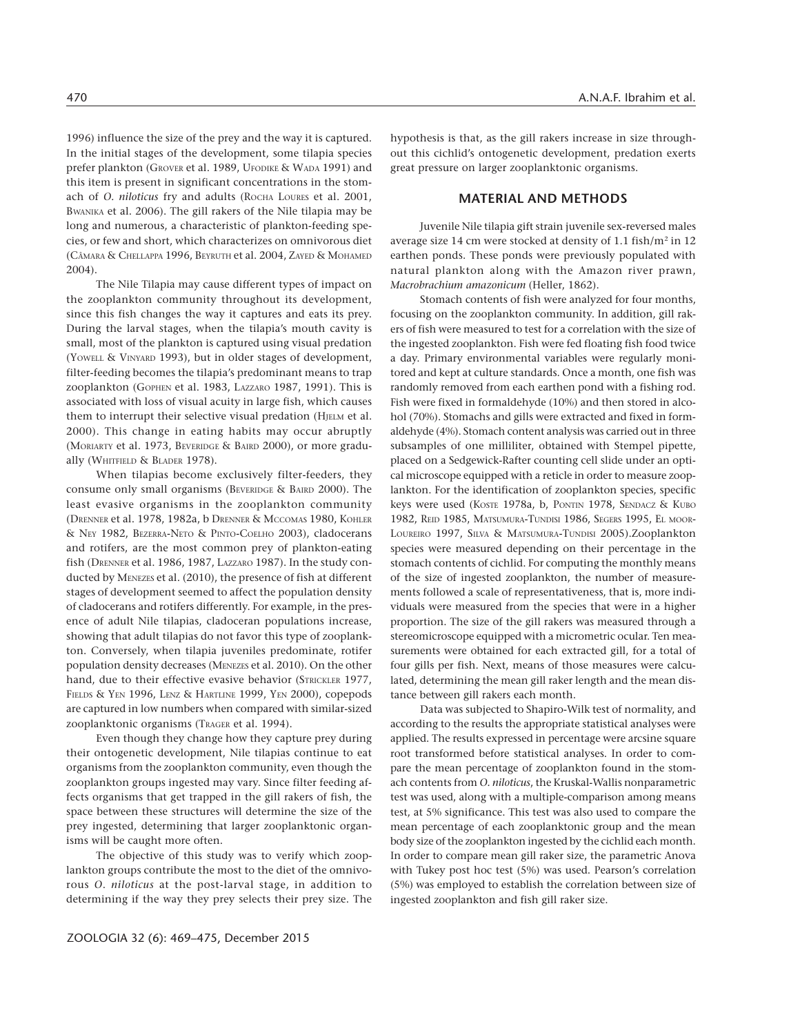1996) influence the size of the prey and the way it is captured. In the initial stages of the development, some tilapia species prefer plankton (GROVER et al. 1989, UFODIKE & WADA 1991) and this item is present in significant concentrations in the stomach of *O. niloticus* fry and adults (ROCHA LOURES et al. 2001, BWANIKA et al. 2006). The gill rakers of the Nile tilapia may be long and numerous, a characteristic of plankton-feeding species, or few and short, which characterizes on omnivorous diet (CÂMARA & CHELLAPPA 1996, BEYRUTH et al. 2004, ZAYED & MOHAMED 2004).

The Nile Tilapia may cause different types of impact on the zooplankton community throughout its development, since this fish changes the way it captures and eats its prey. During the larval stages, when the tilapia's mouth cavity is small, most of the plankton is captured using visual predation (YOWELL & VINYARD 1993), but in older stages of development, filter-feeding becomes the tilapia's predominant means to trap zooplankton (GOPHEN et al. 1983, LAZZARO 1987, 1991). This is associated with loss of visual acuity in large fish, which causes them to interrupt their selective visual predation (HJELM et al. 2000). This change in eating habits may occur abruptly (MORIARTY et al. 1973, BEVERIDGE & BAIRD 2000), or more gradually (WHITFIELD & BLADER 1978).

When tilapias become exclusively filter-feeders, they consume only small organisms (BEVERIDGE & BAIRD 2000). The least evasive organisms in the zooplankton community (DRENNER et al. 1978, 1982a, b DRENNER & MCCOMAS 1980, KOHLER & NEY 1982, BEZERRA-NETO & PINTO-COELHO 2003), cladocerans and rotifers, are the most common prey of plankton-eating fish (DRENNER et al. 1986, 1987, LAZZARO 1987). In the study conducted by MENEZES et al. (2010), the presence of fish at different stages of development seemed to affect the population density of cladocerans and rotifers differently. For example, in the presence of adult Nile tilapias, cladoceran populations increase, showing that adult tilapias do not favor this type of zooplankton. Conversely, when tilapia juveniles predominate, rotifer population density decreases (MENEZES et al. 2010). On the other hand, due to their effective evasive behavior (STRICKLER 1977, FIELDS & YEN 1996, LENZ & HARTLINE 1999, YEN 2000), copepods are captured in low numbers when compared with similar-sized zooplanktonic organisms (TRAGER et al. 1994).

Even though they change how they capture prey during their ontogenetic development, Nile tilapias continue to eat organisms from the zooplankton community, even though the zooplankton groups ingested may vary. Since filter feeding affects organisms that get trapped in the gill rakers of fish, the space between these structures will determine the size of the prey ingested, determining that larger zooplanktonic organisms will be caught more often.

The objective of this study was to verify which zooplankton groups contribute the most to the diet of the omnivorous *O*. *niloticus* at the post-larval stage, in addition to determining if the way they prey selects their prey size. The

hypothesis is that, as the gill rakers increase in size throughout this cichlid's ontogenetic development, predation exerts great pressure on larger zooplanktonic organisms.

## **MATERIAL AND METHODS**

Juvenile Nile tilapia gift strain juvenile sex-reversed males average size 14 cm were stocked at density of 1.1 fish/ $m^2$  in 12 earthen ponds. These ponds were previously populated with natural plankton along with the Amazon river prawn, *Macrobrachium amazonicum* (Heller, 1862).

Stomach contents of fish were analyzed for four months, focusing on the zooplankton community. In addition, gill rakers of fish were measured to test for a correlation with the size of the ingested zooplankton. Fish were fed floating fish food twice a day. Primary environmental variables were regularly monitored and kept at culture standards. Once a month, one fish was randomly removed from each earthen pond with a fishing rod. Fish were fixed in formaldehyde (10%) and then stored in alcohol (70%). Stomachs and gills were extracted and fixed in formaldehyde (4%). Stomach content analysis was carried out in three subsamples of one milliliter, obtained with Stempel pipette, placed on a Sedgewick-Rafter counting cell slide under an optical microscope equipped with a reticle in order to measure zooplankton. For the identification of zooplankton species, specific keys were used (KOSTE 1978a, b, PONTIN 1978, SENDACZ & KUBO 1982, REID 1985, MATSUMURA-TUNDISI 1986, SEGERS 1995, EL MOOR-LOUREIRO 1997, SILVA & MATSUMURA-TUNDISI 2005).Zooplankton species were measured depending on their percentage in the stomach contents of cichlid. For computing the monthly means of the size of ingested zooplankton, the number of measurements followed a scale of representativeness, that is, more individuals were measured from the species that were in a higher proportion. The size of the gill rakers was measured through a stereomicroscope equipped with a micrometric ocular. Ten measurements were obtained for each extracted gill, for a total of four gills per fish. Next, means of those measures were calculated, determining the mean gill raker length and the mean distance between gill rakers each month.

Data was subjected to Shapiro-Wilk test of normality, and according to the results the appropriate statistical analyses were applied. The results expressed in percentage were arcsine square root transformed before statistical analyses. In order to compare the mean percentage of zooplankton found in the stomach contents from *O. niloticus*, the Kruskal-Wallis nonparametric test was used, along with a multiple-comparison among means test, at 5% significance. This test was also used to compare the mean percentage of each zooplanktonic group and the mean body size of the zooplankton ingested by the cichlid each month. In order to compare mean gill raker size, the parametric Anova with Tukey post hoc test (5%) was used. Pearson's correlation (5%) was employed to establish the correlation between size of ingested zooplankton and fish gill raker size.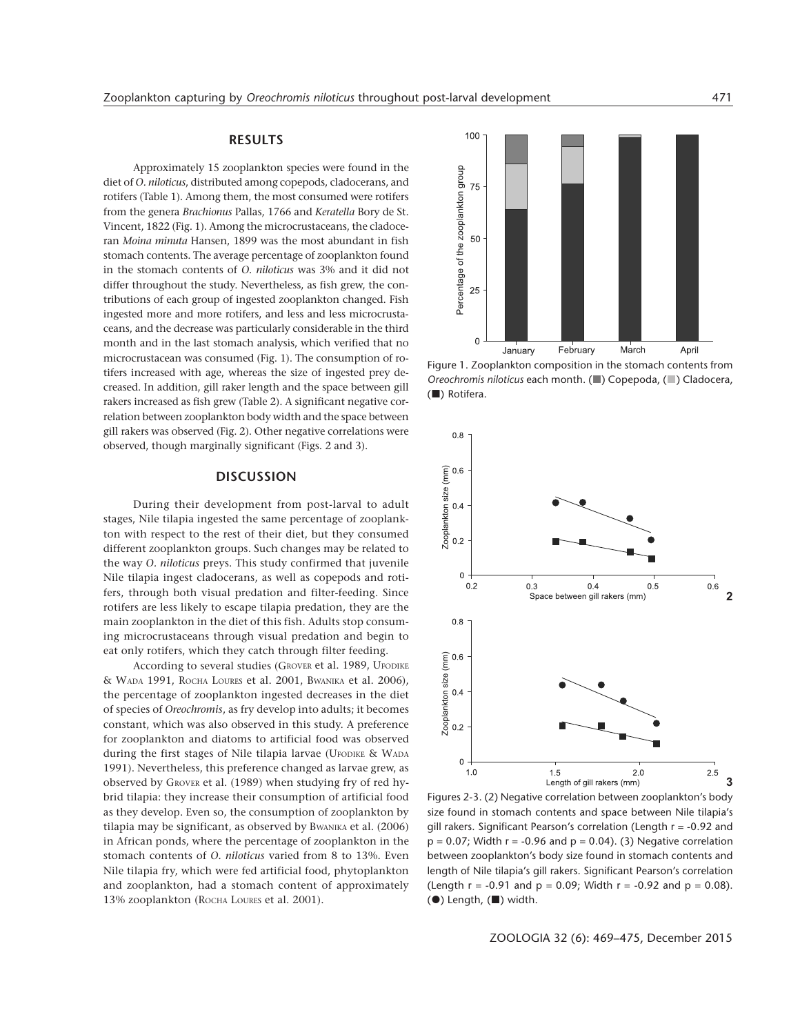### **RESULTS**

Approximately 15 zooplankton species were found in the diet of *O. niloticus*, distributed among copepods, cladocerans, and rotifers (Table 1). Among them, the most consumed were rotifers from the genera *Brachionus* Pallas, 1766 and *Keratella* Bory de St. Vincent, 1822 (Fig. 1). Among the microcrustaceans, the cladoceran *Moina minuta* Hansen, 1899 was the most abundant in fish stomach contents. The average percentage of zooplankton found in the stomach contents of *O. niloticus* was 3% and it did not differ throughout the study. Nevertheless, as fish grew, the contributions of each group of ingested zooplankton changed. Fish ingested more and more rotifers, and less and less microcrustaceans, and the decrease was particularly considerable in the third month and in the last stomach analysis, which verified that no microcrustacean was consumed (Fig. 1). The consumption of rotifers increased with age, whereas the size of ingested prey decreased. In addition, gill raker length and the space between gill rakers increased as fish grew (Table 2). A significant negative correlation between zooplankton body width and the space between gill rakers was observed (Fig. 2). Other negative correlations were observed, though marginally significant (Figs. 2 and 3).

## **DISCUSSION**

During their development from post-larval to adult stages, Nile tilapia ingested the same percentage of zooplankton with respect to the rest of their diet, but they consumed different zooplankton groups. Such changes may be related to the way *O. niloticus* preys. This study confirmed that juvenile Nile tilapia ingest cladocerans, as well as copepods and rotifers, through both visual predation and filter-feeding. Since rotifers are less likely to escape tilapia predation, they are the main zooplankton in the diet of this fish. Adults stop consuming microcrustaceans through visual predation and begin to eat only rotifers, which they catch through filter feeding.

According to several studies (GROVER et al. 1989, UFODIKE & WADA 1991, ROCHA LOURES et al. 2001, BWANIKA et al. 2006), the percentage of zooplankton ingested decreases in the diet of species of *Oreochromis*, as fry develop into adults; it becomes constant, which was also observed in this study. A preference for zooplankton and diatoms to artificial food was observed during the first stages of Nile tilapia larvae (UFODIKE & WADA 1991). Nevertheless, this preference changed as larvae grew, as observed by GROVER et al. (1989) when studying fry of red hybrid tilapia: they increase their consumption of artificial food as they develop. Even so, the consumption of zooplankton by tilapia may be significant, as observed by BWANIKA et al. (2006) in African ponds, where the percentage of zooplankton in the stomach contents of *O. niloticus* varied from 8 to 13%. Even Nile tilapia fry, which were fed artificial food, phytoplankton and zooplankton, had a stomach content of approximately 13% zooplankton (ROCHA LOURES et al. 2001).



Figure 1. Zooplankton composition in the stomach contents from *Oreochromis niloticus* each month. (D) Copepoda, (D) Cladocera, ( $\blacksquare$ ) Rotifera.



Figures 2-3. (2) Negative correlation between zooplankton's body size found in stomach contents and space between Nile tilapia's gill rakers. Significant Pearson's correlation (Length r = -0.92 and  $p = 0.07$ ; Width  $r = -0.96$  and  $p = 0.04$ ). (3) Negative correlation between zooplankton's body size found in stomach contents and length of Nile tilapia's gill rakers. Significant Pearson's correlation (Length  $r = -0.91$  and  $p = 0.09$ ; Width  $r = -0.92$  and  $p = 0.08$ ).  $($  ) Length,  $($   $\blacksquare)$  width.

ZOOLOGIA 32 (6): 469–475, December 2015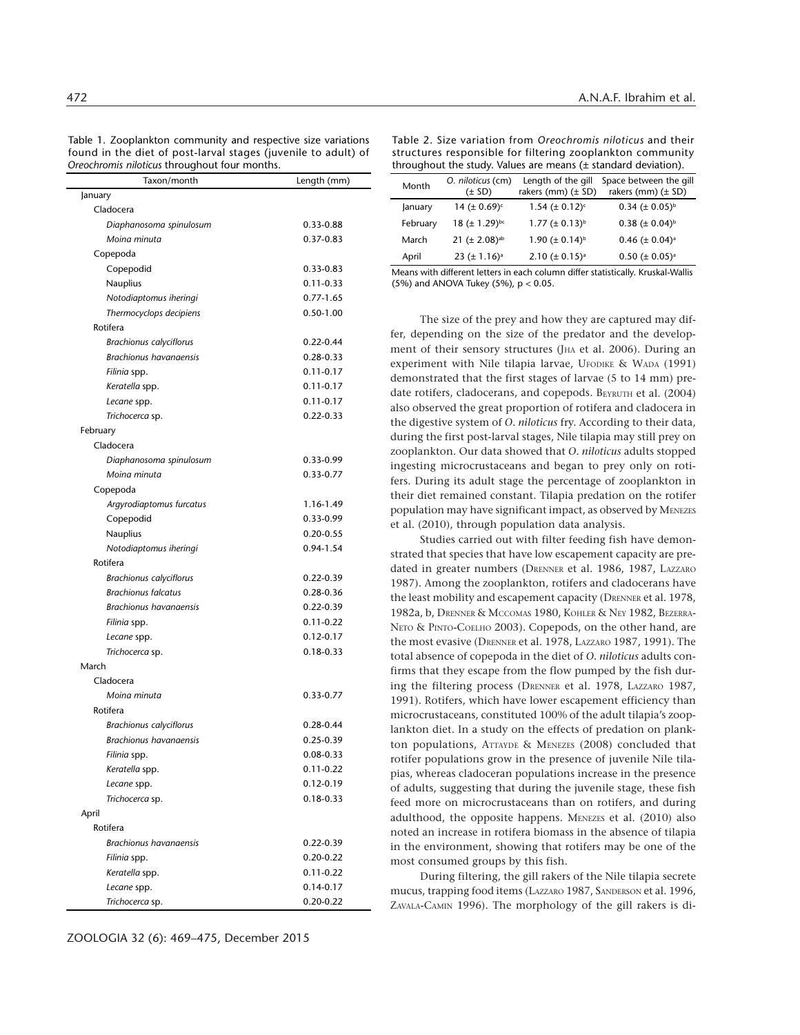| <i>reochromis niloticus</i> throughout four months.             |                            |  |  |  |
|-----------------------------------------------------------------|----------------------------|--|--|--|
| Taxon/month                                                     | Length (mm)                |  |  |  |
| January                                                         |                            |  |  |  |
| Cladocera                                                       |                            |  |  |  |
| Diaphanosoma spinulosum                                         | 0.33-0.88                  |  |  |  |
| Moina minuta                                                    | 0.37-0.83                  |  |  |  |
| Copepoda                                                        |                            |  |  |  |
| Copepodid                                                       | 0.33-0.83                  |  |  |  |
| Nauplius                                                        | 0.11-0.33                  |  |  |  |
| Notodiaptomus iheringi                                          | 0.77-1.65                  |  |  |  |
| Thermocyclops decipiens                                         | $0.50 - 1.00$              |  |  |  |
| Rotifera                                                        |                            |  |  |  |
| <b>Brachionus calyciflorus</b><br><b>Brachionus havangensis</b> | $0.22 - 0.44$              |  |  |  |
|                                                                 | $0.28 - 0.33$              |  |  |  |
| Filinia spp.                                                    | $0.11 - 0.17$              |  |  |  |
| Keratella spp.                                                  | $0.11 - 0.17$              |  |  |  |
| Lecane spp.                                                     | $0.11 - 0.17$              |  |  |  |
| Trichocerca sp.                                                 | $0.22 - 0.33$              |  |  |  |
| February                                                        |                            |  |  |  |
| Cladocera                                                       |                            |  |  |  |
| Diaphanosoma spinulosum<br>Moina minuta                         | 0.33-0.99                  |  |  |  |
|                                                                 | 0.33-0.77                  |  |  |  |
| Copepoda                                                        |                            |  |  |  |
| Argyrodiaptomus furcatus                                        | 1.16-1.49                  |  |  |  |
| Copepodid                                                       | 0.33-0.99                  |  |  |  |
| Nauplius                                                        | 0.20-0.55                  |  |  |  |
| Notodiaptomus iheringi                                          | 0.94-1.54                  |  |  |  |
| Rotifera                                                        |                            |  |  |  |
| <b>Brachionus calyciflorus</b>                                  | $0.22 - 0.39$              |  |  |  |
| <b>Brachionus falcatus</b>                                      | 0.28-0.36                  |  |  |  |
| <b>Brachionus havanaensis</b>                                   | 0.22-0.39                  |  |  |  |
| Filinia spp.                                                    | $0.11 - 0.22$              |  |  |  |
| Lecane spp.                                                     | $0.12 - 0.17$              |  |  |  |
| Trichocerca sp.                                                 | $0.18 - 0.33$              |  |  |  |
| March                                                           |                            |  |  |  |
| Cladocera<br>Moina minuta                                       |                            |  |  |  |
| Rotifera                                                        | 0.33-0.77                  |  |  |  |
| <b>Brachionus calyciflorus</b>                                  |                            |  |  |  |
| Brachionus havanaensis                                          | 0.28-0.44<br>$0.25 - 0.39$ |  |  |  |
|                                                                 |                            |  |  |  |
| Filinia spp.                                                    | $0.08 - 0.33$              |  |  |  |
| Keratella spp.                                                  | 0.11-0.22                  |  |  |  |
| Lecane spp.                                                     | 0.12-0.19<br>$0.18 - 0.33$ |  |  |  |
| Trichocerca sp.                                                 |                            |  |  |  |
| April                                                           |                            |  |  |  |
| Rotifera                                                        |                            |  |  |  |
| <b>Brachionus havanaensis</b>                                   | 0.22-0.39                  |  |  |  |
| Filinia spp.                                                    | $0.20 - 0.22$              |  |  |  |
| Keratella spp.                                                  | $0.11 - 0.22$              |  |  |  |
| Lecane spp.                                                     | $0.14 - 0.17$              |  |  |  |
| Trichocerca sp.                                                 | 0.20-0.22                  |  |  |  |

Table 1. Zooplankton community and respective size variations found in the diet of post-larval stages (juvenile to adult) of *Oreochromis niloticus* throughout four months.

Table 2. Size variation from *Oreochromis niloticus* and their structures responsible for filtering zooplankton community throughout the study. Values are means (± standard deviation).

| Month    | O. niloticus (cm)<br>$(\pm SD)$ | Length of the gill<br>rakers (mm) $(\pm SD)$ | Space between the gill<br>rakers (mm) $(\pm SD)$ |
|----------|---------------------------------|----------------------------------------------|--------------------------------------------------|
| January  | 14 ( $\pm$ 0.69) <sup>c</sup>   | $1.54 \ (\pm 0.12)^c$                        | $0.34 \ (\pm 0.05)^{b}$                          |
| February | 18 ( $\pm$ 1.29) <sup>bc</sup>  | $1.77 \ (\pm 0.13)^{b}$                      | $0.38 \ (\pm 0.04)^{b}$                          |
| March    | 21 ( $\pm$ 2.08) <sup>ab</sup>  | 1.90 ( $\pm$ 0.14) <sup>b</sup>              | $0.46 \ (\pm 0.04)^a$                            |
| April    | 23 ( $\pm$ 1.16) <sup>a</sup>   | 2.10 ( $\pm$ 0.15) <sup>a</sup>              | $0.50 \ (\pm 0.05)^{a}$                          |
|          |                                 |                                              | .                                                |

Means with different letters in each column differ statistically. Kruskal-Wallis (5%) and ANOVA Tukey (5%),  $p < 0.05$ .

The size of the prey and how they are captured may differ, depending on the size of the predator and the development of their sensory structures (JHA et al. 2006). During an experiment with Nile tilapia larvae, UFODIKE & WADA (1991) demonstrated that the first stages of larvae (5 to 14 mm) predate rotifers, cladocerans, and copepods. BEYRUTH et al. (2004) also observed the great proportion of rotifera and cladocera in the digestive system of *O. niloticus* fry. According to their data, during the first post-larval stages, Nile tilapia may still prey on zooplankton. Our data showed that *O. niloticus* adults stopped ingesting microcrustaceans and began to prey only on rotifers. During its adult stage the percentage of zooplankton in their diet remained constant. Tilapia predation on the rotifer population may have significant impact, as observed by MENEZES et al. (2010), through population data analysis.

Studies carried out with filter feeding fish have demonstrated that species that have low escapement capacity are predated in greater numbers (DRENNER et al. 1986, 1987, LAZZARO 1987). Among the zooplankton, rotifers and cladocerans have the least mobility and escapement capacity (DRENNER et al. 1978, 1982a, b, DRENNER & MCCOMAS 1980, KOHLER & NEY 1982, BEZERRA-NETO & PINTO-COELHO 2003). Copepods, on the other hand, are the most evasive (DRENNER et al. 1978, LAZZARO 1987, 1991). The total absence of copepoda in the diet of *O. niloticus* adults confirms that they escape from the flow pumped by the fish during the filtering process (DRENNER et al. 1978, LAZZARO 1987, 1991). Rotifers, which have lower escapement efficiency than microcrustaceans, constituted 100% of the adult tilapia's zooplankton diet. In a study on the effects of predation on plankton populations, ATTAYDE & MENEZES (2008) concluded that rotifer populations grow in the presence of juvenile Nile tilapias, whereas cladoceran populations increase in the presence of adults, suggesting that during the juvenile stage, these fish feed more on microcrustaceans than on rotifers, and during adulthood, the opposite happens. MENEZES et al. (2010) also noted an increase in rotifera biomass in the absence of tilapia in the environment, showing that rotifers may be one of the most consumed groups by this fish.

During filtering, the gill rakers of the Nile tilapia secrete mucus, trapping food items (LAZZARO 1987, SANDERSON et al. 1996, ZAVALA-CAMIN 1996). The morphology of the gill rakers is di-

ZOOLOGIA 32 (6): 469–475, December 2015

 $\overline{a}$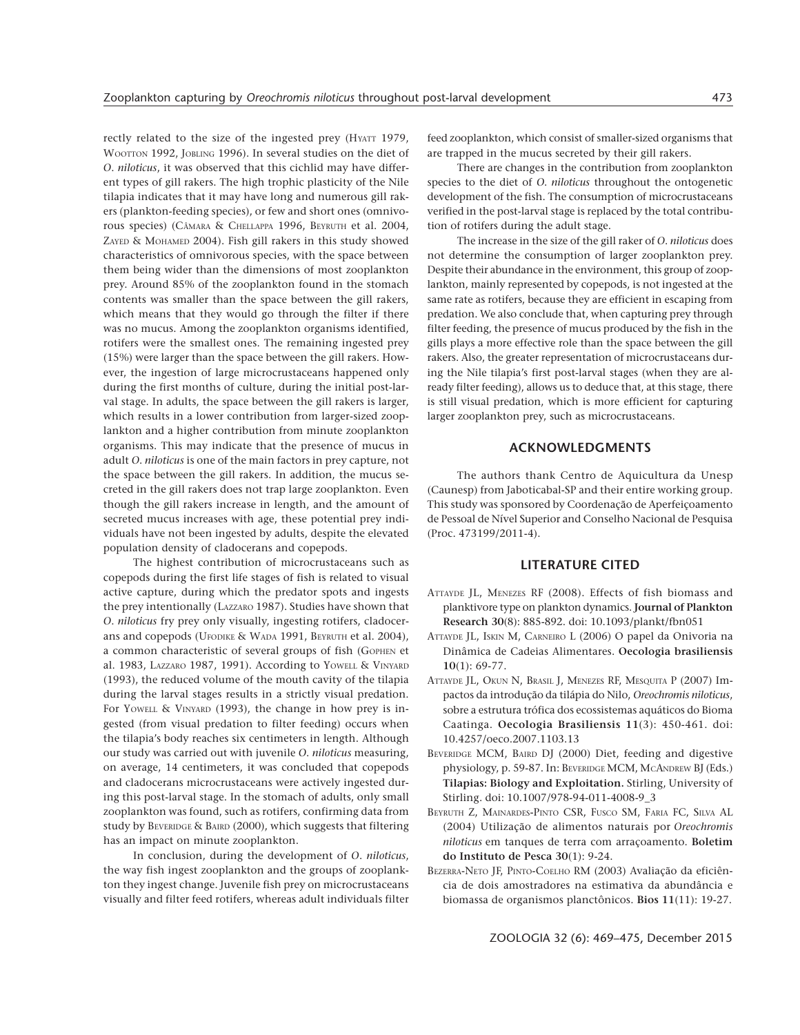rectly related to the size of the ingested prey (HYATT 1979, WOOTTON 1992, JOBLING 1996). In several studies on the diet of *O*. *niloticus*, it was observed that this cichlid may have different types of gill rakers. The high trophic plasticity of the Nile tilapia indicates that it may have long and numerous gill rakers (plankton-feeding species), or few and short ones (omnivorous species) (CÂMARA & CHELLAPPA 1996, BEYRUTH et al. 2004, ZAYED & MOHAMED 2004). Fish gill rakers in this study showed characteristics of omnivorous species, with the space between them being wider than the dimensions of most zooplankton prey. Around 85% of the zooplankton found in the stomach contents was smaller than the space between the gill rakers, which means that they would go through the filter if there was no mucus. Among the zooplankton organisms identified, rotifers were the smallest ones. The remaining ingested prey (15%) were larger than the space between the gill rakers. However, the ingestion of large microcrustaceans happened only during the first months of culture, during the initial post-larval stage. In adults, the space between the gill rakers is larger, which results in a lower contribution from larger-sized zooplankton and a higher contribution from minute zooplankton organisms. This may indicate that the presence of mucus in adult *O*. *niloticus* is one of the main factors in prey capture, not the space between the gill rakers. In addition, the mucus secreted in the gill rakers does not trap large zooplankton. Even though the gill rakers increase in length, and the amount of secreted mucus increases with age, these potential prey individuals have not been ingested by adults, despite the elevated population density of cladocerans and copepods.

The highest contribution of microcrustaceans such as copepods during the first life stages of fish is related to visual active capture, during which the predator spots and ingests the prey intentionally (LAZZARO 1987). Studies have shown that *O*. *niloticus* fry prey only visually, ingesting rotifers, cladocerans and copepods (UFODIKE & WADA 1991, BEYRUTH et al. 2004), a common characteristic of several groups of fish (GOPHEN et al. 1983, LAZZARO 1987, 1991). According to YOWELL & VINYARD (1993), the reduced volume of the mouth cavity of the tilapia during the larval stages results in a strictly visual predation. For Yowell & VINYARD (1993), the change in how prey is ingested (from visual predation to filter feeding) occurs when the tilapia's body reaches six centimeters in length. Although our study was carried out with juvenile *O*. *niloticus* measuring, on average, 14 centimeters, it was concluded that copepods and cladocerans microcrustaceans were actively ingested during this post-larval stage. In the stomach of adults, only small zooplankton was found, such as rotifers, confirming data from study by BEVERIDGE & BAIRD (2000), which suggests that filtering has an impact on minute zooplankton.

In conclusion, during the development of *O*. *niloticus*, the way fish ingest zooplankton and the groups of zooplankton they ingest change. Juvenile fish prey on microcrustaceans visually and filter feed rotifers, whereas adult individuals filter

feed zooplankton, which consist of smaller-sized organisms that are trapped in the mucus secreted by their gill rakers.

There are changes in the contribution from zooplankton species to the diet of *O*. *niloticus* throughout the ontogenetic development of the fish. The consumption of microcrustaceans verified in the post-larval stage is replaced by the total contribution of rotifers during the adult stage.

The increase in the size of the gill raker of *O*. *niloticus* does not determine the consumption of larger zooplankton prey. Despite their abundance in the environment, this group of zooplankton, mainly represented by copepods, is not ingested at the same rate as rotifers, because they are efficient in escaping from predation. We also conclude that, when capturing prey through filter feeding, the presence of mucus produced by the fish in the gills plays a more effective role than the space between the gill rakers. Also, the greater representation of microcrustaceans during the Nile tilapia's first post-larval stages (when they are already filter feeding), allows us to deduce that, at this stage, there is still visual predation, which is more efficient for capturing larger zooplankton prey, such as microcrustaceans.

## **ACKNOWLEDGMENTS**

The authors thank Centro de Aquicultura da Unesp (Caunesp) from Jaboticabal-SP and their entire working group. This study was sponsored by Coordenação de Aperfeiçoamento de Pessoal de Nível Superior and Conselho Nacional de Pesquisa (Proc. 473199/2011-4).

## **LITERATURE CITED**

- ATTAYDE JL, MENEZES RF (2008). Effects of fish biomass and planktivore type on plankton dynamics. **Journal of Plankton Research 30**(8): 885-892. doi: 10.1093/plankt/fbn051
- ATTAYDE JL, ISKIN M, CARNEIRO L (2006) O papel da Onivoria na Dinâmica de Cadeias Alimentares. **Oecologia brasiliensis 10**(1): 69-77.
- ATTAYDE JL, OKUN N, BRASIL J, MENEZES RF, MESQUITA P (2007) Impactos da introdução da tilápia do Nilo, *Oreochromis niloticus*, sobre a estrutura trófica dos ecossistemas aquáticos do Bioma Caatinga. **Oecologia Brasiliensis 11**(3): 450-461. doi: 10.4257/oeco.2007.1103.13
- BEVERIDGE MCM, BAIRD DJ (2000) Diet, feeding and digestive physiology, p. 59-87. In: BEVERIDGE MCM, MCANDREW BJ (Eds.) **Tilapias: Biology and Exploitation.** Stirling, University of Stirling. doi: 10.1007/978-94-011-4008-9\_3
- BEYRUTH Z, MAINARDES-PINTO CSR, FUSCO SM, FARIA FC, SILVA AL (2004) Utilização de alimentos naturais por *Oreochromis niloticus* em tanques de terra com arraçoamento. **Boletim do Instituto de Pesca 30**(1): 9-24.
- BEZERRA-NETO JF, PINTO-COELHO RM (2003) Avaliação da eficiência de dois amostradores na estimativa da abundância e biomassa de organismos planctônicos. **Bios 11**(11): 19-27.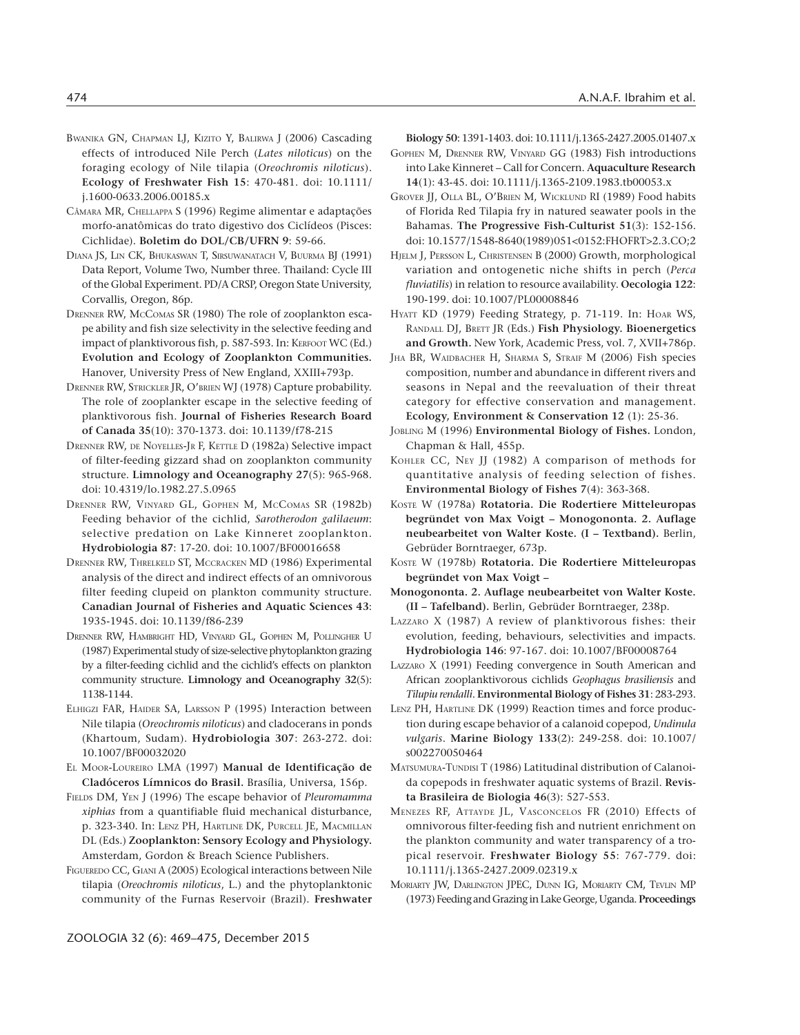- BWANIKA GN, CHAPMAN LJ, KIZITO Y, BALIRWA J (2006) Cascading effects of introduced Nile Perch (*Lates niloticus*) on the foraging ecology of Nile tilapia (*Oreochromis niloticus*). **Ecology of Freshwater Fish 15**: 470-481. doi: 10.1111/ j.1600-0633.2006.00185.x
- CÂMARA MR, CHELLAPPA S (1996) Regime alimentar e adaptações morfo-anatômicas do trato digestivo dos Ciclídeos (Pisces: Cichlidae). **Boletim do DOL/CB/UFRN 9**: 59-66.
- DIANA JS, LIN CK, BHUKASWAN T, SIRSUWANATACH V, BUURMA BJ (1991) Data Report, Volume Two, Number three. Thailand: Cycle III of the Global Experiment. PD/A CRSP, Oregon State University, Corvallis, Oregon, 86p.
- DRENNER RW, MCCOMAS SR (1980) The role of zooplankton escape ability and fish size selectivity in the selective feeding and impact of planktivorous fish, p. 587-593. In: KERFOOT WC (Ed.) **Evolution and Ecology of Zooplankton Communities.** Hanover, University Press of New England, XXIII+793p.
- DRENNER RW, STRICKLER JR, O'BRIEN WJ (1978) Capture probability. The role of zooplankter escape in the selective feeding of planktivorous fish. **Journal of Fisheries Research Board of Canada 35**(10): 370-1373. doi: 10.1139/f78-215
- DRENNER RW, DE NOYELLES-JR F, KETTLE D (1982a) Selective impact of filter-feeding gizzard shad on zooplankton community structure. **Limnology and Oceanography 27**(5): 965-968. doi: 10.4319/lo.1982.27.5.0965
- DRENNER RW, VINYARD GL, GOPHEN M, MCCOMAS SR (1982b) Feeding behavior of the cichlid, *Sarotherodon galilaeum*: selective predation on Lake Kinneret zooplankton. **Hydrobiologia 87**: 17-20. doi: 10.1007/BF00016658
- DRENNER RW, THRELKELD ST, MCCRACKEN MD (1986) Experimental analysis of the direct and indirect effects of an omnivorous filter feeding clupeid on plankton community structure. **Canadian Journal of Fisheries and Aquatic Sciences 43**: 1935-1945. doi: 10.1139/f86-239
- DRENNER RW, HAMBRIGHT HD, VINYARD GL, GOPHEN M, POLLINGHER U (1987) Experimental study of size-selective phytoplankton grazing by a filter-feeding cichlid and the cichlid's effects on plankton community structure. **Limnology and Oceanography 32**(5): 1138-1144.
- ELHIGZI FAR, HAIDER SA, LARSSON P (1995) Interaction between Nile tilapia (*Oreochromis niloticus*) and cladocerans in ponds (Khartoum, Sudam). **Hydrobiologia 307**: 263-272. doi: 10.1007/BF00032020
- EL MOOR-LOUREIRO LMA (1997) **Manual de Identificação de Cladóceros Límnicos do Brasil.** Brasília, Universa, 156p.
- FIELDS DM, YEN J (1996) The escape behavior of *Pleuromamma xiphias* from a quantifiable fluid mechanical disturbance, p. 323-340. In: LENZ PH, HARTLINE DK, PURCELL JE, MACMILLAN DL (Eds.) **Zooplankton: Sensory Ecology and Physiology.** Amsterdam, Gordon & Breach Science Publishers.
- FIGUEREDO CC, GIANI A (2005) Ecological interactions between Nile tilapia (*Oreochromis niloticus*, L.) and the phytoplanktonic community of the Furnas Reservoir (Brazil). **Freshwater**

**Biology 50**: 1391-1403. doi: 10.1111/j.1365-2427.2005.01407.x

- GOPHEN M, DRENNER RW, VINYARD GG (1983) Fish introductions into Lake Kinneret – Call for Concern. **Aquaculture Research 14**(1): 43-45. doi: 10.1111/j.1365-2109.1983.tb00053.x
- GROVER JJ, OLLA BL, O'BRIEN M, WICKLUND RI (1989) Food habits of Florida Red Tilapia fry in natured seawater pools in the Bahamas. **The Progressive Fish-Culturist 51**(3): 152-156. doi: 10.1577/1548-8640(1989)051<0152:FHOFRT>2.3.CO;2
- HJELM J, PERSSON L, CHRISTENSEN B (2000) Growth, morphological variation and ontogenetic niche shifts in perch (*Perca fluviatilis*) in relation to resource availability. **Oecologia 122**: 190-199. doi: 10.1007/PL00008846
- HYATT KD (1979) Feeding Strategy, p. 71-119. In: HOAR WS, RANDALL DJ, BRETT JR (Eds.) **Fish Physiology. Bioenergetics and Growth.** New York, Academic Press, vol. 7, XVII+786p.
- JHA BR, WAIDBACHER H, SHARMA S, STRAIF M (2006) Fish species composition, number and abundance in different rivers and seasons in Nepal and the reevaluation of their threat category for effective conservation and management. **Ecology, Environment & Conservation 12** (1): 25-36.
- JOBLING M (1996) **Environmental Biology of Fishes.** London, Chapman & Hall, 455p.
- KOHLER CC, NEY JJ (1982) A comparison of methods for quantitative analysis of feeding selection of fishes. **Environmental Biology of Fishes 7**(4): 363-368.
- KOSTE W (1978a) **Rotatoria. Die Rodertiere Mitteleuropas begründet von Max Voigt – Monogononta. 2. Auflage neubearbeitet von Walter Koste. (I – Textband).** Berlin, Gebrüder Borntraeger, 673p.
- KOSTE W (1978b) **Rotatoria. Die Rodertiere Mitteleuropas begründet von Max Voigt –**
- **Monogononta. 2. Auflage neubearbeitet von Walter Koste. (II – Tafelband).** Berlin, Gebrüder Borntraeger, 238p.
- LAZZARO X (1987) A review of planktivorous fishes: their evolution, feeding, behaviours, selectivities and impacts. **Hydrobiologia 146**: 97-167. doi: 10.1007/BF00008764
- LAZZARO X (1991) Feeding convergence in South American and African zooplanktivorous cichlids *Geophagus brasiliensis* and *Tilupiu rendalli*. **Environmental Biology of Fishes 31**: 283-293.
- LENZ PH, HARTLINE DK (1999) Reaction times and force production during escape behavior of a calanoid copepod, *Undinula vulgaris*. **Marine Biology 133**(2): 249-258. doi: 10.1007/ s002270050464
- MATSUMURA-TUNDISI T (1986) Latitudinal distribution of Calanoida copepods in freshwater aquatic systems of Brazil. **Revista Brasileira de Biologia 46**(3): 527-553.
- MENEZES RF, ATTAYDE JL, VASCONCELOS FR (2010) Effects of omnivorous filter-feeding fish and nutrient enrichment on the plankton community and water transparency of a tropical reservoir. **Freshwater Biology 55**: 767-779. doi: 10.1111/j.1365-2427.2009.02319.x
- MORIARTY JW, DARLINGTON JPEC, DUNN IG, MORIARTY CM, TEVLIN MP (1973) Feeding and Grazing in Lake George, Uganda. **Proceedings**